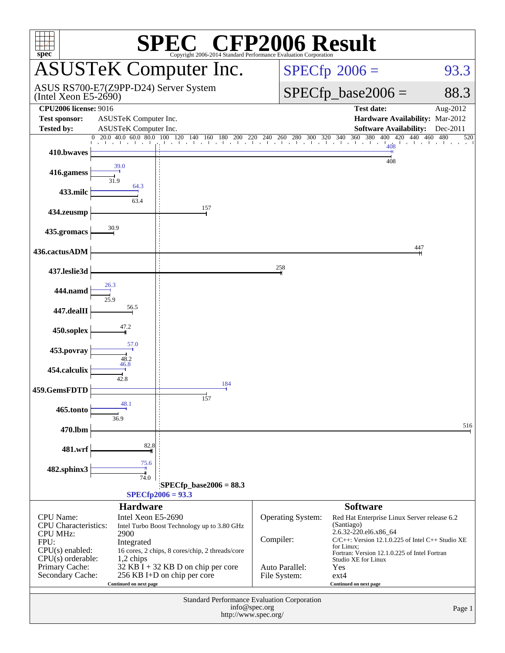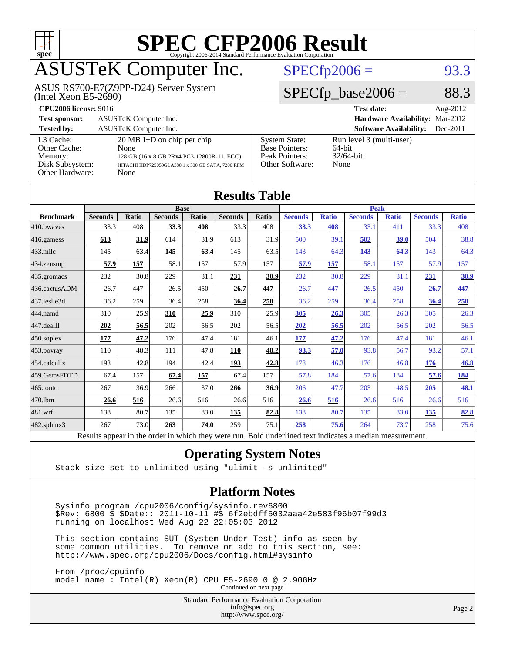

## ASUSTeK Computer Inc.

(Intel Xeon E5-2690) ASUS RS700-E7(Z9PP-D24) Server System

#### $SPECfp2006 = 93.3$  $SPECfp2006 = 93.3$

#### $SPECTp\_base2006 = 88.3$

| <b>CPU2006 license: 9016</b>                                               |                                                                                                                                                         |                                                                                    | <b>Test date:</b><br>Aug-2012                              |
|----------------------------------------------------------------------------|---------------------------------------------------------------------------------------------------------------------------------------------------------|------------------------------------------------------------------------------------|------------------------------------------------------------|
| <b>Test sponsor:</b>                                                       | ASUSTeK Computer Inc.                                                                                                                                   |                                                                                    | <b>Hardware Availability: Mar-2012</b>                     |
| <b>Tested by:</b>                                                          | <b>ASUSTeK</b> Computer Inc.                                                                                                                            |                                                                                    | <b>Software Availability:</b><br>$Dec-2011$                |
| L3 Cache:<br>Other Cache:<br>Memory:<br>Disk Subsystem:<br>Other Hardware: | $20 \text{ MB I+D}$ on chip per chip<br>None<br>128 GB (16 x 8 GB 2Rx4 PC3-12800R-11, ECC)<br>HITACHI HDP725050GLA380 1 x 500 GB SATA, 7200 RPM<br>None | <b>System State:</b><br><b>Base Pointers:</b><br>Peak Pointers:<br>Other Software: | Run level 3 (multi-user)<br>64-bit<br>$32/64$ -bit<br>None |

| <b>Results Table</b> |                                                                                                          |       |                |       |                |       |                |              |                |              |                |              |
|----------------------|----------------------------------------------------------------------------------------------------------|-------|----------------|-------|----------------|-------|----------------|--------------|----------------|--------------|----------------|--------------|
|                      | <b>Base</b>                                                                                              |       |                |       | <b>Peak</b>    |       |                |              |                |              |                |              |
| <b>Benchmark</b>     | <b>Seconds</b>                                                                                           | Ratio | <b>Seconds</b> | Ratio | <b>Seconds</b> | Ratio | <b>Seconds</b> | <b>Ratio</b> | <b>Seconds</b> | <b>Ratio</b> | <b>Seconds</b> | <b>Ratio</b> |
| 410.bwayes           | 33.3                                                                                                     | 408   | 33.3           | 408   | 33.3           | 408   | 33.3           | 408          | 33.1           | 411          | 33.3           | 408          |
| 416.gamess           | 613                                                                                                      | 31.9  | 614            | 31.9  | 613            | 31.9  | 500            | 39.1         | 502            | 39.0         | 504            | 38.8         |
| $433$ .milc          | 145                                                                                                      | 63.4  | 145            | 63.4  | 145            | 63.5  | 143            | 64.3         | 143            | 64.3         | 143            | 64.3         |
| 434.zeusmp           | 57.9                                                                                                     | 157   | 58.1           | 157   | 57.9           | 157   | 57.9           | 157          | 58.1           | 157          | 57.9           | 157          |
| 435 gromacs          | 232                                                                                                      | 30.8  | 229            | 31.1  | 231            | 30.9  | 232            | 30.8         | 229            | 31.1         | 231            | 30.9         |
| 436.cactusADM        | 26.7                                                                                                     | 447   | 26.5           | 450   | 26.7           | 447   | 26.7           | 447          | 26.5           | 450          | 26.7           | 447          |
| 437.leslie3d         | 36.2                                                                                                     | 259   | 36.4           | 258   | 36.4           | 258   | 36.2           | 259          | 36.4           | 258          | 36.4           | 258          |
| 444.namd             | 310                                                                                                      | 25.9  | 310            | 25.9  | 310            | 25.9  | 305            | 26.3         | 305            | 26.3         | 305            | 26.3         |
| 447.dealII           | 202                                                                                                      | 56.5  | 202            | 56.5  | 202            | 56.5  | 202            | 56.5         | 202            | 56.5         | 202            | 56.5         |
| 450.soplex           | 177                                                                                                      | 47.2  | 176            | 47.4  | 181            | 46.1  | 177            | 47.2         | 176            | 47.4         | 181            | 46.1         |
| 453.povray           | 110                                                                                                      | 48.3  | 111            | 47.8  | 110            | 48.2  | 93.3           | 57.0         | 93.8           | 56.7         | 93.2           | 57.1         |
| 454.calculix         | 193                                                                                                      | 42.8  | 194            | 42.4  | 193            | 42.8  | 178            | 46.3         | 176            | 46.8         | 176            | 46.8         |
| 459.GemsFDTD         | 67.4                                                                                                     | 157   | 67.4           | 157   | 67.4           | 157   | 57.8           | 184          | 57.6           | 184          | 57.6           | <u>184</u>   |
| 465.tonto            | 267                                                                                                      | 36.9  | 266            | 37.0  | 266            | 36.9  | 206            | 47.7         | 203            | 48.5         | 205            | 48.1         |
| 470.1bm              | 26.6                                                                                                     | 516   | 26.6           | 516   | 26.6           | 516   | 26.6           | 516          | 26.6           | 516          | 26.6           | 516          |
| 481.wrf              | 138                                                                                                      | 80.7  | 135            | 83.0  | 135            | 82.8  | 138            | 80.7         | 135            | 83.0         | 135            | 82.8         |
| $482$ .sphinx $3$    | 267                                                                                                      | 73.0  | 263            | 74.0  | 259            | 75.1  | 258            | 75.6         | 264            | 73.7         | 258            | 75.6         |
|                      | Results appear in the order in which they were run. Bold underlined text indicates a median measurement. |       |                |       |                |       |                |              |                |              |                |              |

#### **[Operating System Notes](http://www.spec.org/auto/cpu2006/Docs/result-fields.html#OperatingSystemNotes)**

Stack size set to unlimited using "ulimit -s unlimited"

#### **[Platform Notes](http://www.spec.org/auto/cpu2006/Docs/result-fields.html#PlatformNotes)**

 Sysinfo program /cpu2006/config/sysinfo.rev6800 \$Rev: 6800 \$ \$Date:: 2011-10-11 #\$ 6f2ebdff5032aaa42e583f96b07f99d3 running on localhost Wed Aug 22 22:05:03 2012

 This section contains SUT (System Under Test) info as seen by some common utilities. To remove or add to this section, see: <http://www.spec.org/cpu2006/Docs/config.html#sysinfo>

 From /proc/cpuinfo model name : Intel(R) Xeon(R) CPU E5-2690 0 @ 2.90GHz

Continued on next page

Standard Performance Evaluation Corporation [info@spec.org](mailto:info@spec.org) <http://www.spec.org/>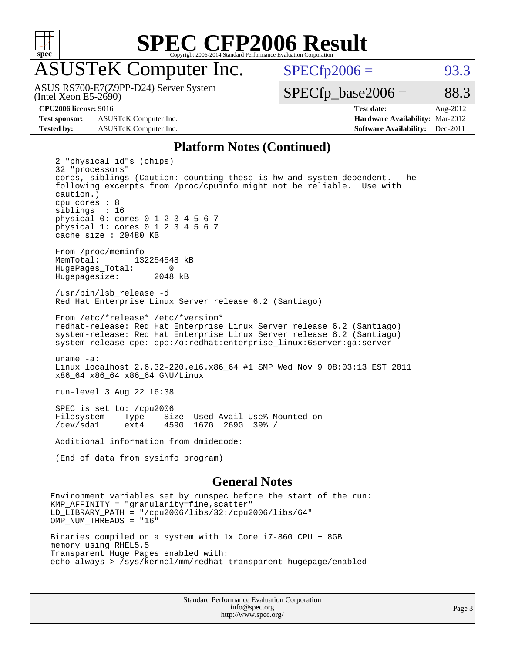

## ASUSTeK Computer Inc.

ASUS RS700-E7(Z9PP-D24) Server System

 $SPECTp2006 =$  93.3

(Intel Xeon E5-2690)

**[Test sponsor:](http://www.spec.org/auto/cpu2006/Docs/result-fields.html#Testsponsor)** ASUSTeK Computer Inc. **[Hardware Availability:](http://www.spec.org/auto/cpu2006/Docs/result-fields.html#HardwareAvailability)** Mar-2012

 $SPECTp\_base2006 = 88.3$ 

**[CPU2006 license:](http://www.spec.org/auto/cpu2006/Docs/result-fields.html#CPU2006license)** 9016 **[Test date:](http://www.spec.org/auto/cpu2006/Docs/result-fields.html#Testdate)** Aug-2012 **[Tested by:](http://www.spec.org/auto/cpu2006/Docs/result-fields.html#Testedby)** ASUSTeK Computer Inc. **[Software Availability:](http://www.spec.org/auto/cpu2006/Docs/result-fields.html#SoftwareAvailability)** Dec-2011

#### **[Platform Notes \(Continued\)](http://www.spec.org/auto/cpu2006/Docs/result-fields.html#PlatformNotes)**

 2 "physical id"s (chips) 32 "processors" cores, siblings (Caution: counting these is hw and system dependent. The following excerpts from /proc/cpuinfo might not be reliable. Use with caution.) cpu cores : 8 siblings : 16 physical 0: cores 0 1 2 3 4 5 6 7 physical 1: cores 0 1 2 3 4 5 6 7 cache size : 20480 KB From /proc/meminfo MemTotal: 132254548 kB<br>HugePages Total: 0 HugePages\_Total: 0<br>Hugepagesize: 2048 kB Hugepagesize: /usr/bin/lsb\_release -d Red Hat Enterprise Linux Server release 6.2 (Santiago) From /etc/\*release\* /etc/\*version\* redhat-release: Red Hat Enterprise Linux Server release 6.2 (Santiago) system-release: Red Hat Enterprise Linux Server release 6.2 (Santiago) system-release-cpe: cpe:/o:redhat:enterprise\_linux:6server:ga:server uname -a: Linux localhost 2.6.32-220.el6.x86\_64 #1 SMP Wed Nov 9 08:03:13 EST 2011 x86\_64 x86\_64 x86\_64 GNU/Linux run-level 3 Aug 22 16:38 SPEC is set to: /cpu2006<br>Filesystem Type Si Type Size Used Avail Use% Mounted on<br>ext4 459G 167G 269G 39% / /dev/sda1 ext4 459G 167G 269G 39% / Additional information from dmidecode: (End of data from sysinfo program)

#### **[General Notes](http://www.spec.org/auto/cpu2006/Docs/result-fields.html#GeneralNotes)**

Environment variables set by runspec before the start of the run: KMP\_AFFINITY = "granularity=fine,scatter"  $LD$  $LLBRARY$  $PATH$  = "/cpu2006/libs/32:/cpu2006/libs/64" OMP\_NUM\_THREADS = "16" Binaries compiled on a system with 1x Core i7-860 CPU + 8GB memory using RHEL5.5 Transparent Huge Pages enabled with:

echo always > /sys/kernel/mm/redhat\_transparent\_hugepage/enabled

Standard Performance Evaluation Corporation [info@spec.org](mailto:info@spec.org) <http://www.spec.org/>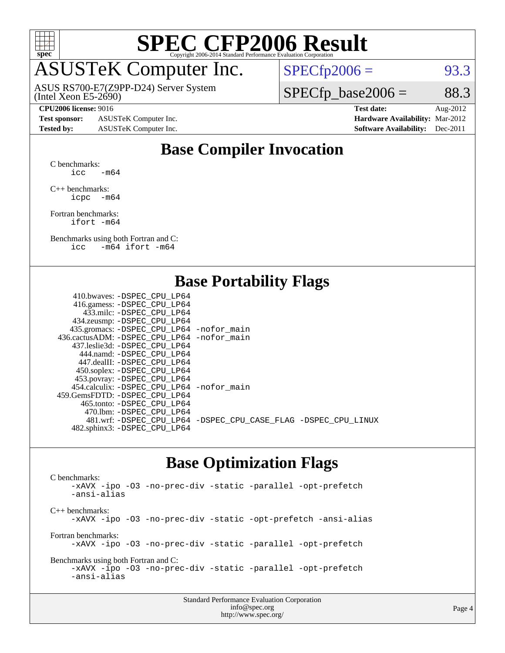

## ASUSTeK Computer Inc.

(Intel Xeon E5-2690) ASUS RS700-E7(Z9PP-D24) Server System  $SPECTp2006 = 93.3$ 

 $SPECTp\_base2006 = 88.3$ 

**[Test sponsor:](http://www.spec.org/auto/cpu2006/Docs/result-fields.html#Testsponsor)** ASUSTeK Computer Inc. **[Hardware Availability:](http://www.spec.org/auto/cpu2006/Docs/result-fields.html#HardwareAvailability)** Mar-2012

**[CPU2006 license:](http://www.spec.org/auto/cpu2006/Docs/result-fields.html#CPU2006license)** 9016 **[Test date:](http://www.spec.org/auto/cpu2006/Docs/result-fields.html#Testdate)** Aug-2012 **[Tested by:](http://www.spec.org/auto/cpu2006/Docs/result-fields.html#Testedby)** ASUSTeK Computer Inc. **[Software Availability:](http://www.spec.org/auto/cpu2006/Docs/result-fields.html#SoftwareAvailability)** Dec-2011

#### **[Base Compiler Invocation](http://www.spec.org/auto/cpu2006/Docs/result-fields.html#BaseCompilerInvocation)**

[C benchmarks](http://www.spec.org/auto/cpu2006/Docs/result-fields.html#Cbenchmarks): [icc -m64](http://www.spec.org/cpu2006/results/res2012q3/cpu2006-20120827-24356.flags.html#user_CCbase_intel_icc_64bit_0b7121f5ab7cfabee23d88897260401c)

[C++ benchmarks:](http://www.spec.org/auto/cpu2006/Docs/result-fields.html#CXXbenchmarks) [icpc -m64](http://www.spec.org/cpu2006/results/res2012q3/cpu2006-20120827-24356.flags.html#user_CXXbase_intel_icpc_64bit_bedb90c1146cab66620883ef4f41a67e)

[Fortran benchmarks](http://www.spec.org/auto/cpu2006/Docs/result-fields.html#Fortranbenchmarks): [ifort -m64](http://www.spec.org/cpu2006/results/res2012q3/cpu2006-20120827-24356.flags.html#user_FCbase_intel_ifort_64bit_ee9d0fb25645d0210d97eb0527dcc06e)

[Benchmarks using both Fortran and C](http://www.spec.org/auto/cpu2006/Docs/result-fields.html#BenchmarksusingbothFortranandC): [icc -m64](http://www.spec.org/cpu2006/results/res2012q3/cpu2006-20120827-24356.flags.html#user_CC_FCbase_intel_icc_64bit_0b7121f5ab7cfabee23d88897260401c) [ifort -m64](http://www.spec.org/cpu2006/results/res2012q3/cpu2006-20120827-24356.flags.html#user_CC_FCbase_intel_ifort_64bit_ee9d0fb25645d0210d97eb0527dcc06e)

 $410.6$ buacces: DODRO CPU\_LPC

#### **[Base Portability Flags](http://www.spec.org/auto/cpu2006/Docs/result-fields.html#BasePortabilityFlags)**

| 410.0Waves: -DSPEC CPU LP04                 |                                                                |
|---------------------------------------------|----------------------------------------------------------------|
| 416.gamess: -DSPEC_CPU_LP64                 |                                                                |
| 433.milc: -DSPEC CPU LP64                   |                                                                |
| 434.zeusmp: -DSPEC_CPU_LP64                 |                                                                |
| 435.gromacs: -DSPEC_CPU_LP64 -nofor_main    |                                                                |
| 436.cactusADM: -DSPEC CPU LP64 -nofor main  |                                                                |
| 437.leslie3d: -DSPEC CPU LP64               |                                                                |
| 444.namd: -DSPEC CPU LP64                   |                                                                |
| 447.dealII: -DSPEC CPU LP64                 |                                                                |
| 450.soplex: -DSPEC_CPU_LP64                 |                                                                |
| 453.povray: -DSPEC_CPU_LP64                 |                                                                |
| 454.calculix: - DSPEC CPU LP64 - nofor main |                                                                |
| 459. GemsFDTD: - DSPEC CPU LP64             |                                                                |
| 465.tonto: - DSPEC CPU LP64                 |                                                                |
| 470.1bm: - DSPEC CPU LP64                   |                                                                |
|                                             | 481.wrf: -DSPEC CPU_LP64 -DSPEC_CPU_CASE_FLAG -DSPEC_CPU_LINUX |
| 482.sphinx3: -DSPEC_CPU_LP64                |                                                                |
|                                             |                                                                |

#### **[Base Optimization Flags](http://www.spec.org/auto/cpu2006/Docs/result-fields.html#BaseOptimizationFlags)**

[C benchmarks](http://www.spec.org/auto/cpu2006/Docs/result-fields.html#Cbenchmarks): [-xAVX](http://www.spec.org/cpu2006/results/res2012q3/cpu2006-20120827-24356.flags.html#user_CCbase_f-xAVX) [-ipo](http://www.spec.org/cpu2006/results/res2012q3/cpu2006-20120827-24356.flags.html#user_CCbase_f-ipo) [-O3](http://www.spec.org/cpu2006/results/res2012q3/cpu2006-20120827-24356.flags.html#user_CCbase_f-O3) [-no-prec-div](http://www.spec.org/cpu2006/results/res2012q3/cpu2006-20120827-24356.flags.html#user_CCbase_f-no-prec-div) [-static](http://www.spec.org/cpu2006/results/res2012q3/cpu2006-20120827-24356.flags.html#user_CCbase_f-static) [-parallel](http://www.spec.org/cpu2006/results/res2012q3/cpu2006-20120827-24356.flags.html#user_CCbase_f-parallel) [-opt-prefetch](http://www.spec.org/cpu2006/results/res2012q3/cpu2006-20120827-24356.flags.html#user_CCbase_f-opt-prefetch) [-ansi-alias](http://www.spec.org/cpu2006/results/res2012q3/cpu2006-20120827-24356.flags.html#user_CCbase_f-ansi-alias) [C++ benchmarks:](http://www.spec.org/auto/cpu2006/Docs/result-fields.html#CXXbenchmarks) [-xAVX](http://www.spec.org/cpu2006/results/res2012q3/cpu2006-20120827-24356.flags.html#user_CXXbase_f-xAVX) [-ipo](http://www.spec.org/cpu2006/results/res2012q3/cpu2006-20120827-24356.flags.html#user_CXXbase_f-ipo) [-O3](http://www.spec.org/cpu2006/results/res2012q3/cpu2006-20120827-24356.flags.html#user_CXXbase_f-O3) [-no-prec-div](http://www.spec.org/cpu2006/results/res2012q3/cpu2006-20120827-24356.flags.html#user_CXXbase_f-no-prec-div) [-static](http://www.spec.org/cpu2006/results/res2012q3/cpu2006-20120827-24356.flags.html#user_CXXbase_f-static) [-opt-prefetch](http://www.spec.org/cpu2006/results/res2012q3/cpu2006-20120827-24356.flags.html#user_CXXbase_f-opt-prefetch) [-ansi-alias](http://www.spec.org/cpu2006/results/res2012q3/cpu2006-20120827-24356.flags.html#user_CXXbase_f-ansi-alias) [Fortran benchmarks](http://www.spec.org/auto/cpu2006/Docs/result-fields.html#Fortranbenchmarks): [-xAVX](http://www.spec.org/cpu2006/results/res2012q3/cpu2006-20120827-24356.flags.html#user_FCbase_f-xAVX) [-ipo](http://www.spec.org/cpu2006/results/res2012q3/cpu2006-20120827-24356.flags.html#user_FCbase_f-ipo) [-O3](http://www.spec.org/cpu2006/results/res2012q3/cpu2006-20120827-24356.flags.html#user_FCbase_f-O3) [-no-prec-div](http://www.spec.org/cpu2006/results/res2012q3/cpu2006-20120827-24356.flags.html#user_FCbase_f-no-prec-div) [-static](http://www.spec.org/cpu2006/results/res2012q3/cpu2006-20120827-24356.flags.html#user_FCbase_f-static) [-parallel](http://www.spec.org/cpu2006/results/res2012q3/cpu2006-20120827-24356.flags.html#user_FCbase_f-parallel) [-opt-prefetch](http://www.spec.org/cpu2006/results/res2012q3/cpu2006-20120827-24356.flags.html#user_FCbase_f-opt-prefetch) [Benchmarks using both Fortran and C](http://www.spec.org/auto/cpu2006/Docs/result-fields.html#BenchmarksusingbothFortranandC): [-xAVX](http://www.spec.org/cpu2006/results/res2012q3/cpu2006-20120827-24356.flags.html#user_CC_FCbase_f-xAVX) [-ipo](http://www.spec.org/cpu2006/results/res2012q3/cpu2006-20120827-24356.flags.html#user_CC_FCbase_f-ipo) [-O3](http://www.spec.org/cpu2006/results/res2012q3/cpu2006-20120827-24356.flags.html#user_CC_FCbase_f-O3) [-no-prec-div](http://www.spec.org/cpu2006/results/res2012q3/cpu2006-20120827-24356.flags.html#user_CC_FCbase_f-no-prec-div) [-static](http://www.spec.org/cpu2006/results/res2012q3/cpu2006-20120827-24356.flags.html#user_CC_FCbase_f-static) [-parallel](http://www.spec.org/cpu2006/results/res2012q3/cpu2006-20120827-24356.flags.html#user_CC_FCbase_f-parallel) [-opt-prefetch](http://www.spec.org/cpu2006/results/res2012q3/cpu2006-20120827-24356.flags.html#user_CC_FCbase_f-opt-prefetch) [-ansi-alias](http://www.spec.org/cpu2006/results/res2012q3/cpu2006-20120827-24356.flags.html#user_CC_FCbase_f-ansi-alias)

| <b>Standard Performance Evaluation Corporation</b> |
|----------------------------------------------------|
| info@spec.org                                      |
| http://www.spec.org/                               |

#### Page 4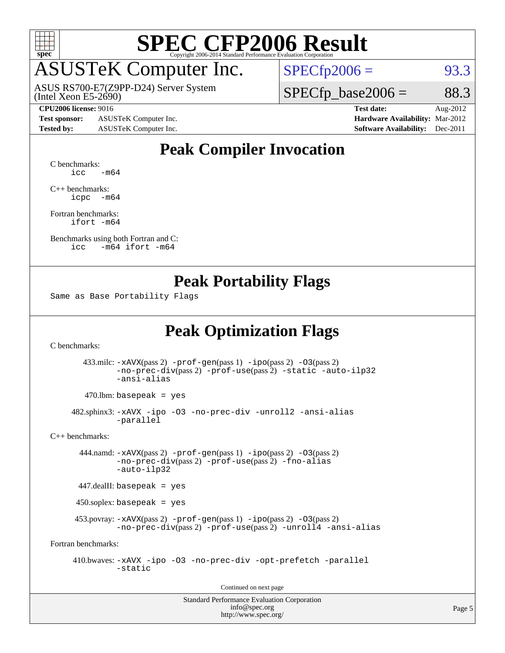

## ASUSTeK Computer Inc.

(Intel Xeon E5-2690) ASUS RS700-E7(Z9PP-D24) Server System  $SPECfp2006 = 93.3$  $SPECfp2006 = 93.3$ 

 $SPECTp\_base2006 = 88.3$ 

**[Test sponsor:](http://www.spec.org/auto/cpu2006/Docs/result-fields.html#Testsponsor)** ASUSTeK Computer Inc. **[Hardware Availability:](http://www.spec.org/auto/cpu2006/Docs/result-fields.html#HardwareAvailability)** Mar-2012

**[CPU2006 license:](http://www.spec.org/auto/cpu2006/Docs/result-fields.html#CPU2006license)** 9016 **[Test date:](http://www.spec.org/auto/cpu2006/Docs/result-fields.html#Testdate)** Aug-2012 **[Tested by:](http://www.spec.org/auto/cpu2006/Docs/result-fields.html#Testedby)** ASUSTeK Computer Inc. **[Software Availability:](http://www.spec.org/auto/cpu2006/Docs/result-fields.html#SoftwareAvailability)** Dec-2011

### **[Peak Compiler Invocation](http://www.spec.org/auto/cpu2006/Docs/result-fields.html#PeakCompilerInvocation)**

[C benchmarks](http://www.spec.org/auto/cpu2006/Docs/result-fields.html#Cbenchmarks):  $\text{icc}$   $-\text{m64}$ 

[C++ benchmarks:](http://www.spec.org/auto/cpu2006/Docs/result-fields.html#CXXbenchmarks) [icpc -m64](http://www.spec.org/cpu2006/results/res2012q3/cpu2006-20120827-24356.flags.html#user_CXXpeak_intel_icpc_64bit_bedb90c1146cab66620883ef4f41a67e)

[Fortran benchmarks](http://www.spec.org/auto/cpu2006/Docs/result-fields.html#Fortranbenchmarks): [ifort -m64](http://www.spec.org/cpu2006/results/res2012q3/cpu2006-20120827-24356.flags.html#user_FCpeak_intel_ifort_64bit_ee9d0fb25645d0210d97eb0527dcc06e)

[Benchmarks using both Fortran and C](http://www.spec.org/auto/cpu2006/Docs/result-fields.html#BenchmarksusingbothFortranandC): [icc -m64](http://www.spec.org/cpu2006/results/res2012q3/cpu2006-20120827-24356.flags.html#user_CC_FCpeak_intel_icc_64bit_0b7121f5ab7cfabee23d88897260401c) [ifort -m64](http://www.spec.org/cpu2006/results/res2012q3/cpu2006-20120827-24356.flags.html#user_CC_FCpeak_intel_ifort_64bit_ee9d0fb25645d0210d97eb0527dcc06e)

#### **[Peak Portability Flags](http://www.spec.org/auto/cpu2006/Docs/result-fields.html#PeakPortabilityFlags)**

Same as Base Portability Flags

### **[Peak Optimization Flags](http://www.spec.org/auto/cpu2006/Docs/result-fields.html#PeakOptimizationFlags)**

[C benchmarks](http://www.spec.org/auto/cpu2006/Docs/result-fields.html#Cbenchmarks):

 433.milc: [-xAVX](http://www.spec.org/cpu2006/results/res2012q3/cpu2006-20120827-24356.flags.html#user_peakPASS2_CFLAGSPASS2_LDFLAGS433_milc_f-xAVX)(pass 2) [-prof-gen](http://www.spec.org/cpu2006/results/res2012q3/cpu2006-20120827-24356.flags.html#user_peakPASS1_CFLAGSPASS1_LDFLAGS433_milc_prof_gen_e43856698f6ca7b7e442dfd80e94a8fc)(pass 1) [-ipo](http://www.spec.org/cpu2006/results/res2012q3/cpu2006-20120827-24356.flags.html#user_peakPASS2_CFLAGSPASS2_LDFLAGS433_milc_f-ipo)(pass 2) [-O3](http://www.spec.org/cpu2006/results/res2012q3/cpu2006-20120827-24356.flags.html#user_peakPASS2_CFLAGSPASS2_LDFLAGS433_milc_f-O3)(pass 2) [-no-prec-div](http://www.spec.org/cpu2006/results/res2012q3/cpu2006-20120827-24356.flags.html#user_peakPASS2_CFLAGSPASS2_LDFLAGS433_milc_f-no-prec-div)(pass 2) [-prof-use](http://www.spec.org/cpu2006/results/res2012q3/cpu2006-20120827-24356.flags.html#user_peakPASS2_CFLAGSPASS2_LDFLAGS433_milc_prof_use_bccf7792157ff70d64e32fe3e1250b55)(pass 2) [-static](http://www.spec.org/cpu2006/results/res2012q3/cpu2006-20120827-24356.flags.html#user_peakOPTIMIZE433_milc_f-static) [-auto-ilp32](http://www.spec.org/cpu2006/results/res2012q3/cpu2006-20120827-24356.flags.html#user_peakCOPTIMIZE433_milc_f-auto-ilp32) [-ansi-alias](http://www.spec.org/cpu2006/results/res2012q3/cpu2006-20120827-24356.flags.html#user_peakCOPTIMIZE433_milc_f-ansi-alias)

 $470.$ lbm: basepeak = yes

 482.sphinx3: [-xAVX](http://www.spec.org/cpu2006/results/res2012q3/cpu2006-20120827-24356.flags.html#user_peakOPTIMIZE482_sphinx3_f-xAVX) [-ipo](http://www.spec.org/cpu2006/results/res2012q3/cpu2006-20120827-24356.flags.html#user_peakOPTIMIZE482_sphinx3_f-ipo) [-O3](http://www.spec.org/cpu2006/results/res2012q3/cpu2006-20120827-24356.flags.html#user_peakOPTIMIZE482_sphinx3_f-O3) [-no-prec-div](http://www.spec.org/cpu2006/results/res2012q3/cpu2006-20120827-24356.flags.html#user_peakOPTIMIZE482_sphinx3_f-no-prec-div) [-unroll2](http://www.spec.org/cpu2006/results/res2012q3/cpu2006-20120827-24356.flags.html#user_peakCOPTIMIZE482_sphinx3_f-unroll_784dae83bebfb236979b41d2422d7ec2) [-ansi-alias](http://www.spec.org/cpu2006/results/res2012q3/cpu2006-20120827-24356.flags.html#user_peakCOPTIMIZE482_sphinx3_f-ansi-alias) [-parallel](http://www.spec.org/cpu2006/results/res2012q3/cpu2006-20120827-24356.flags.html#user_peakCOPTIMIZE482_sphinx3_f-parallel)

[C++ benchmarks:](http://www.spec.org/auto/cpu2006/Docs/result-fields.html#CXXbenchmarks)

 444.namd: [-xAVX](http://www.spec.org/cpu2006/results/res2012q3/cpu2006-20120827-24356.flags.html#user_peakPASS2_CXXFLAGSPASS2_LDFLAGS444_namd_f-xAVX)(pass 2) [-prof-gen](http://www.spec.org/cpu2006/results/res2012q3/cpu2006-20120827-24356.flags.html#user_peakPASS1_CXXFLAGSPASS1_LDFLAGS444_namd_prof_gen_e43856698f6ca7b7e442dfd80e94a8fc)(pass 1) [-ipo](http://www.spec.org/cpu2006/results/res2012q3/cpu2006-20120827-24356.flags.html#user_peakPASS2_CXXFLAGSPASS2_LDFLAGS444_namd_f-ipo)(pass 2) [-O3](http://www.spec.org/cpu2006/results/res2012q3/cpu2006-20120827-24356.flags.html#user_peakPASS2_CXXFLAGSPASS2_LDFLAGS444_namd_f-O3)(pass 2) [-no-prec-div](http://www.spec.org/cpu2006/results/res2012q3/cpu2006-20120827-24356.flags.html#user_peakPASS2_CXXFLAGSPASS2_LDFLAGS444_namd_f-no-prec-div)(pass 2) [-prof-use](http://www.spec.org/cpu2006/results/res2012q3/cpu2006-20120827-24356.flags.html#user_peakPASS2_CXXFLAGSPASS2_LDFLAGS444_namd_prof_use_bccf7792157ff70d64e32fe3e1250b55)(pass 2) [-fno-alias](http://www.spec.org/cpu2006/results/res2012q3/cpu2006-20120827-24356.flags.html#user_peakCXXOPTIMIZEOPTIMIZE444_namd_f-no-alias_694e77f6c5a51e658e82ccff53a9e63a) [-auto-ilp32](http://www.spec.org/cpu2006/results/res2012q3/cpu2006-20120827-24356.flags.html#user_peakCXXOPTIMIZE444_namd_f-auto-ilp32)

447.dealII: basepeak = yes

450.soplex: basepeak = yes

 453.povray: [-xAVX](http://www.spec.org/cpu2006/results/res2012q3/cpu2006-20120827-24356.flags.html#user_peakPASS2_CXXFLAGSPASS2_LDFLAGS453_povray_f-xAVX)(pass 2) [-prof-gen](http://www.spec.org/cpu2006/results/res2012q3/cpu2006-20120827-24356.flags.html#user_peakPASS1_CXXFLAGSPASS1_LDFLAGS453_povray_prof_gen_e43856698f6ca7b7e442dfd80e94a8fc)(pass 1) [-ipo](http://www.spec.org/cpu2006/results/res2012q3/cpu2006-20120827-24356.flags.html#user_peakPASS2_CXXFLAGSPASS2_LDFLAGS453_povray_f-ipo)(pass 2) [-O3](http://www.spec.org/cpu2006/results/res2012q3/cpu2006-20120827-24356.flags.html#user_peakPASS2_CXXFLAGSPASS2_LDFLAGS453_povray_f-O3)(pass 2) [-no-prec-div](http://www.spec.org/cpu2006/results/res2012q3/cpu2006-20120827-24356.flags.html#user_peakPASS2_CXXFLAGSPASS2_LDFLAGS453_povray_f-no-prec-div)(pass 2) [-prof-use](http://www.spec.org/cpu2006/results/res2012q3/cpu2006-20120827-24356.flags.html#user_peakPASS2_CXXFLAGSPASS2_LDFLAGS453_povray_prof_use_bccf7792157ff70d64e32fe3e1250b55)(pass 2) [-unroll4](http://www.spec.org/cpu2006/results/res2012q3/cpu2006-20120827-24356.flags.html#user_peakCXXOPTIMIZE453_povray_f-unroll_4e5e4ed65b7fd20bdcd365bec371b81f) [-ansi-alias](http://www.spec.org/cpu2006/results/res2012q3/cpu2006-20120827-24356.flags.html#user_peakCXXOPTIMIZE453_povray_f-ansi-alias)

[Fortran benchmarks](http://www.spec.org/auto/cpu2006/Docs/result-fields.html#Fortranbenchmarks):

 410.bwaves: [-xAVX](http://www.spec.org/cpu2006/results/res2012q3/cpu2006-20120827-24356.flags.html#user_peakOPTIMIZE410_bwaves_f-xAVX) [-ipo](http://www.spec.org/cpu2006/results/res2012q3/cpu2006-20120827-24356.flags.html#user_peakOPTIMIZE410_bwaves_f-ipo) [-O3](http://www.spec.org/cpu2006/results/res2012q3/cpu2006-20120827-24356.flags.html#user_peakOPTIMIZE410_bwaves_f-O3) [-no-prec-div](http://www.spec.org/cpu2006/results/res2012q3/cpu2006-20120827-24356.flags.html#user_peakOPTIMIZE410_bwaves_f-no-prec-div) [-opt-prefetch](http://www.spec.org/cpu2006/results/res2012q3/cpu2006-20120827-24356.flags.html#user_peakOPTIMIZE410_bwaves_f-opt-prefetch) [-parallel](http://www.spec.org/cpu2006/results/res2012q3/cpu2006-20120827-24356.flags.html#user_peakOPTIMIZE410_bwaves_f-parallel) [-static](http://www.spec.org/cpu2006/results/res2012q3/cpu2006-20120827-24356.flags.html#user_peakOPTIMIZE410_bwaves_f-static)

Continued on next page

Standard Performance Evaluation Corporation [info@spec.org](mailto:info@spec.org) <http://www.spec.org/>